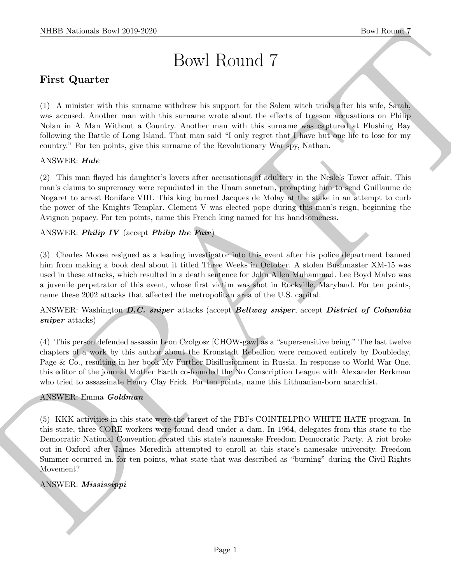# Bowl Round 7

# First Quarter

(1) A minister with this surname withdrew his support for the Salem witch trials after his wife, Sarah, was accused. Another man with this surname wrote about the effects of treason accusations on Philip Nolan in A Man Without a Country. Another man with this surname was captured at Flushing Bay following the Battle of Long Island. That man said "I only regret that I have but one life to lose for my country." For ten points, give this surname of the Revolutionary War spy, Nathan.

## ANSWER: Hale

(2) This man flayed his daughter's lovers after accusations of adultery in the Nesle's Tower affair. This man's claims to supremacy were repudiated in the Unam sanctam, prompting him to send Guillaume de Nogaret to arrest Boniface VIII. This king burned Jacques de Molay at the stake in an attempt to curb the power of the Knights Templar. Clement V was elected pope during this man's reign, beginning the Avignon papacy. For ten points, name this French king named for his handsomeness.

# ANSWER: Philip IV (accept Philip the Fair)

(3) Charles Moose resigned as a leading investigator into this event after his police department banned him from making a book deal about it titled Three Weeks in October. A stolen Bushmaster XM-15 was used in these attacks, which resulted in a death sentence for John Allen Muhammad. Lee Boyd Malvo was a juvenile perpetrator of this event, whose first victim was shot in Rockville, Maryland. For ten points, name these 2002 attacks that affected the metropolitan area of the U.S. capital.

ANSWER: Washington D.C. sniper attacks (accept Beltway sniper, accept District of Columbia sniper attacks)

(4) This person defended assassin Leon Czolgosz [CHOW-gaw] as a "supersensitive being." The last twelve chapters of a work by this author about the Kronstadt Rebellion were removed entirely by Doubleday, Page & Co., resulting in her book My Further Disillusionment in Russia. In response to World War One, this editor of the journal Mother Earth co-founded the No Conscription League with Alexander Berkman who tried to assassinate Henry Clay Frick. For ten points, name this Lithuanian-born anarchist.

#### ANSWER: Emma Goldman

NIBB Noticeals how 2019-2020.<br>
Bowl Round 7<br>
First Quarter<br>
First Quarter<br>
First Quarter<br>
Fig. 2019-2020<br>
The Second Andres are with this entergy shown in any point to the Second with the above and consider<br>
was accorded (5) KKK activities in this state were the target of the FBI's COINTELPRO-WHITE HATE program. In this state, three CORE workers were found dead under a dam. In 1964, delegates from this state to the Democratic National Convention created this state's namesake Freedom Democratic Party. A riot broke out in Oxford after James Meredith attempted to enroll at this state's namesake university. Freedom Summer occurred in, for ten points, what state that was described as "burning" during the Civil Rights Movement?

# ANSWER: Mississippi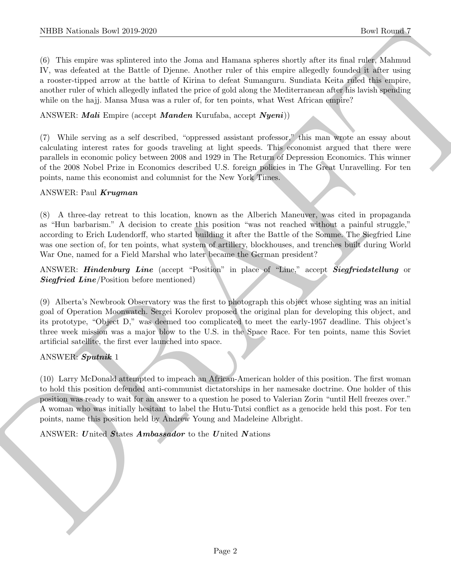NIBB Noticeals, how 2019-2020.<br>
Used Rowser Constant (For Exchange Solution and Holoma subtraction based for the formula of the matrix of the matrix of the matrix of the matrix of the matrix of the matrix of the matrix of (6) This empire was splintered into the Joma and Hamana spheres shortly after its final ruler, Mahmud IV, was defeated at the Battle of Djenne. Another ruler of this empire allegedly founded it after using a rooster-tipped arrow at the battle of Kirina to defeat Sumanguru. Sundiata Keita ruled this empire, another ruler of which allegedly inflated the price of gold along the Mediterranean after his lavish spending while on the hajj. Mansa Musa was a ruler of, for ten points, what West African empire?

ANSWER: Mali Empire (accept Manden Kurufaba, accept Nyeni))

(7) While serving as a self described, "oppressed assistant professor," this man wrote an essay about calculating interest rates for goods traveling at light speeds. This economist argued that there were parallels in economic policy between 2008 and 1929 in The Return of Depression Economics. This winner of the 2008 Nobel Prize in Economics described U.S. foreign policies in The Great Unravelling. For ten points, name this economist and columnist for the New York Times.

#### ANSWER: Paul Krugman

(8) A three-day retreat to this location, known as the Alberich Maneuver, was cited in propaganda as "Hun barbarism." A decision to create this position "was not reached without a painful struggle," according to Erich Ludendorff, who started building it after the Battle of the Somme. The Siegfried Line was one section of, for ten points, what system of artillery, blockhouses, and trenches built during World War One, named for a Field Marshal who later became the German president?

ANSWER: Hindenburg Line (accept "Position" in place of "Line," accept Siegfriedstellung or **Siegfried Line**/Position before mentioned)

(9) Alberta's Newbrook Observatory was the first to photograph this object whose sighting was an initial goal of Operation Moonwatch. Sergei Korolev proposed the original plan for developing this object, and its prototype, "Object D," was deemed too complicated to meet the early-1957 deadline. This object's three week mission was a major blow to the U.S. in the Space Race. For ten points, name this Soviet artificial satellite, the first ever launched into space.

#### ANSWER: Sputnik 1

(10) Larry McDonald attempted to impeach an African-American holder of this position. The first woman to hold this position defended anti-communist dictatorships in her namesake doctrine. One holder of this position was ready to wait for an answer to a question he posed to Valerian Zorin "until Hell freezes over." A woman who was initially hesitant to label the Hutu-Tutsi conflict as a genocide held this post. For ten points, name this position held by Andrew Young and Madeleine Albright.

ANSWER: United States Ambassador to the United Nations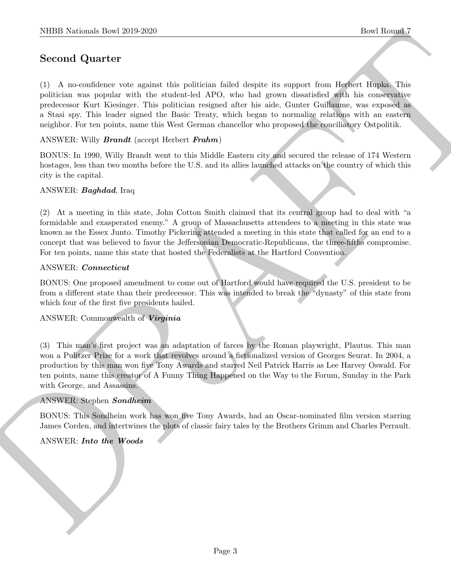# Second Quarter

NIBB Notionals how 2019-2020<br>
Second Quarter<br>
Constitute vertex and the political depletion debt deplet is support and induced the<br>state political was expected with the statement big political deplet is support and induce (1) A no-confidence vote against this politician failed despite its support from Herbert Hupka. This politician was popular with the student-led APO, who had grown dissatisfied with his conservative predecessor Kurt Kiesinger. This politician resigned after his aide, Gunter Guillaume, was exposed as a Stasi spy. This leader signed the Basic Treaty, which began to normalize relations with an eastern neighbor. For ten points, name this West German chancellor who proposed the conciliatory Ostpolitik.

ANSWER: Willy Brandt (accept Herbert Frahm)

BONUS: In 1990, Willy Brandt went to this Middle Eastern city and secured the release of 174 Western hostages, less than two months before the U.S. and its allies launched attacks on the country of which this city is the capital.

#### ANSWER: Baghdad, Iraq

(2) At a meeting in this state, John Cotton Smith claimed that its central group had to deal with "a formidable and exasperated enemy." A group of Massachusetts attendees to a meeting in this state was known as the Essex Junto. Timothy Pickering attended a meeting in this state that called for an end to a concept that was believed to favor the Jeffersonian Democratic-Republicans, the three-fifths compromise. For ten points, name this state that hosted the Federalists at the Hartford Convention.

#### ANSWER: Connecticut

BONUS: One proposed amendment to come out of Hartford would have required the U.S. president to be from a different state than their predecessor. This was intended to break the "dynasty" of this state from which four of the first five presidents hailed.

#### ANSWER: Commonwealth of Virginia

(3) This man's first project was an adaptation of farces by the Roman playwright, Plautus. This man won a Pulitzer Prize for a work that revolves around a fictionalized version of Georges Seurat. In 2004, a production by this man won five Tony Awards and starred Neil Patrick Harris as Lee Harvey Oswald. For ten points, name this creator of A Funny Thing Happened on the Way to the Forum, Sunday in the Park with George, and Assassins.

#### ANSWER: Stephen Sondheim

BONUS: This Sondheim work has won five Tony Awards, had an Oscar-nominated film version starring James Corden, and intertwines the plots of classic fairy tales by the Brothers Grimm and Charles Perrault.

#### ANSWER: Into the Woods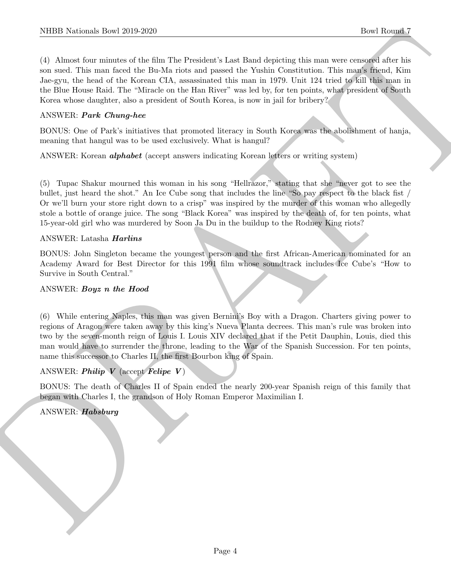NIBER Noticeals how 2019-2020.<br>
The Ramar for the Table Distribution for the Distribution of the New York of Table 2019.<br>
(C) Although four anti-to-the first first first first first first first first first first first fir (4) Almost four minutes of the film The President's Last Band depicting this man were censored after his son sued. This man faced the Bu-Ma riots and passed the Yushin Constitution. This man's friend, Kim Jae-gyu, the head of the Korean CIA, assassinated this man in 1979. Unit 124 tried to kill this man in the Blue House Raid. The "Miracle on the Han River" was led by, for ten points, what president of South Korea whose daughter, also a president of South Korea, is now in jail for bribery?

#### ANSWER: Park Chung-hee

BONUS: One of Park's initiatives that promoted literacy in South Korea was the abolishment of hanja, meaning that hangul was to be used exclusively. What is hangul?

ANSWER: Korean *alphabet* (accept answers indicating Korean letters or writing system)

(5) Tupac Shakur mourned this woman in his song "Hellrazor," stating that she "never got to see the bullet, just heard the shot." An Ice Cube song that includes the line "So pay respect to the black fist / Or we'll burn your store right down to a crisp" was inspired by the murder of this woman who allegedly stole a bottle of orange juice. The song "Black Korea" was inspired by the death of, for ten points, what 15-year-old girl who was murdered by Soon Ja Du in the buildup to the Rodney King riots?

#### ANSWER: Latasha *Harlins*

BONUS: John Singleton became the youngest person and the first African-American nominated for an Academy Award for Best Director for this 1991 film whose soundtrack includes Ice Cube's "How to Survive in South Central."

#### ANSWER: Boyz n the Hood

(6) While entering Naples, this man was given Bernini's Boy with a Dragon. Charters giving power to regions of Aragon were taken away by this king's Nueva Planta decrees. This man's rule was broken into two by the seven-month reign of Louis I. Louis XIV declared that if the Petit Dauphin, Louis, died this man would have to surrender the throne, leading to the War of the Spanish Succession. For ten points, name this successor to Charles II, the first Bourbon king of Spain.

# ANSWER:  $\boldsymbol{Philip}$   $\boldsymbol{V}$  (accept  $\boldsymbol{F}$ eli $\boldsymbol{pe}$   $\boldsymbol{V}$ )

BONUS: The death of Charles II of Spain ended the nearly 200-year Spanish reign of this family that began with Charles I, the grandson of Holy Roman Emperor Maximilian I.

#### ANSWER: Habsburg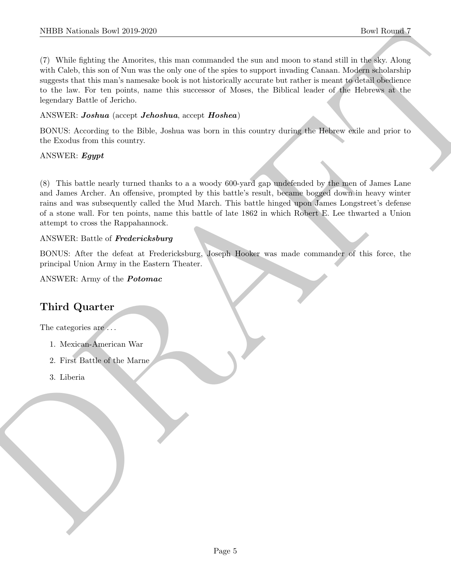NIBB Noticeals how 2019-2020<br>
The Rounds of Antoine, the animal state summanded the summanized as a positive of the Markov and the Rounds of<br>
The Caba, the case of Neumannized to the project of experimentary cleaned by th (7) While fighting the Amorites, this man commanded the sun and moon to stand still in the sky. Along with Caleb, this son of Nun was the only one of the spies to support invading Canaan. Modern scholarship suggests that this man's namesake book is not historically accurate but rather is meant to detail obedience to the law. For ten points, name this successor of Moses, the Biblical leader of the Hebrews at the legendary Battle of Jericho.

## ANSWER: Joshua (accept Jehoshua, accept Hoshea)

BONUS: According to the Bible, Joshua was born in this country during the Hebrew exile and prior to the Exodus from this country.

## ANSWER: Egypt

(8) This battle nearly turned thanks to a a woody 600-yard gap undefended by the men of James Lane and James Archer. An offensive, prompted by this battle's result, became bogged down in heavy winter rains and was subsequently called the Mud March. This battle hinged upon James Longstreet's defense of a stone wall. For ten points, name this battle of late 1862 in which Robert E. Lee thwarted a Union attempt to cross the Rappahannock.

## ANSWER: Battle of Fredericksburg

BONUS: After the defeat at Fredericksburg, Joseph Hooker was made commander of this force, the principal Union Army in the Eastern Theater.

ANSWER: Army of the Potomac

# Third Quarter

The categories are  $\dots$ 

- 1. Mexican-American War
- 2. First Battle of the Marne
- 3. Liberia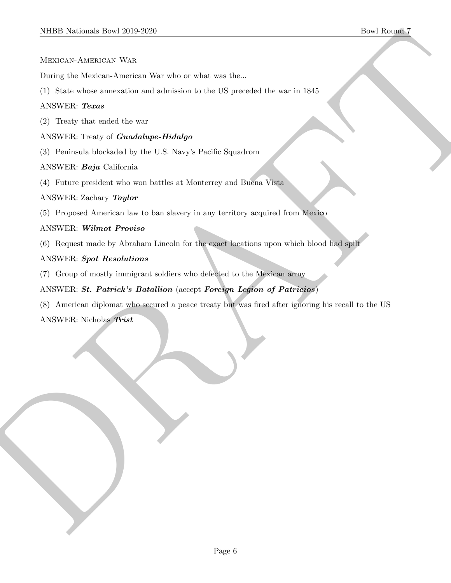Mexican-American War

During the Mexican-American War who or what was the...

(1) State whose annexation and admission to the US preceded the war in 1845

#### ANSWER: Texas

(2) Treaty that ended the war

ANSWER: Treaty of Guadalupe-Hidalgo

(3) Peninsula blockaded by the U.S. Navy's Pacific Squadrom

ANSWER: Baja California

(4) Future president who won battles at Monterrey and Buena Vista

#### ANSWER: Zachary Taylor

(5) Proposed American law to ban slavery in any territory acquired from Mexico

## ANSWER: Wilmot Proviso

(6) Request made by Abraham Lincoln for the exact locations upon which blood had spilt

## ANSWER: Spot Resolutions

(7) Group of mostly immigrant soldiers who defected to the Mexican army

# ANSWER: St. Patrick's Batallion (accept Foreign Legion of Patricios)

SIDDI Northeast-Town 2019-2020<br>
Macro Constantinon West Monet when who or what was late.<br>
During the Monetary Andrea War who or what was late.<br>
(1) State where any means the article was a single of the US procedure the wa (8) American diplomat who secured a peace treaty but was fired after ignoring his recall to the US ANSWER: Nicholas Trist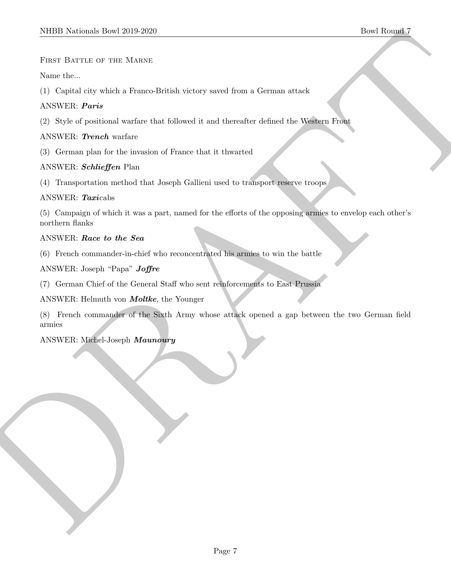FIRST BATTLE OF THE MARNE

Name the...

(1) Capital city which a Franco-British victory saved from a German attack

#### ANSWER: Paris

(2) Style of positional warfare that followed it and thereafter defined the Western Front

#### ANSWER: Trench warfare

(3) German plan for the invasion of France that it thwarted

## ANSWER: Schlieffen Plan

(4) Transportation method that Joseph Gallieni used to transport reserve troops

#### ANSWER: Taxicabs

(5) Campaign of which it was a part, named for the efforts of the opposing armies to envelop each other's northern flanks

## ANSWER: Race to the Sea

(6) French commander-in-chief who reconcentrated his armies to win the battle

ANSWER: Joseph "Papa" Joffre

(7) German Chief of the General Staff who sent reinforcements to East Prussia

ANSWER: Helmuth von Moltke, the Younger

SIDDI Notional: Dow 2019-2020<br>
FIRST EXPTER USE MARKET<br>
NEWS RESPONSE (1) Copied ring within a First<br>contribution of the state of the state of the state of the state of the<br>
ANNER: Premier within a state that is discreted (8) French commander of the Sixth Army whose attack opened a gap between the two German field armies

#### ANSWER: Michel-Joseph Maunoury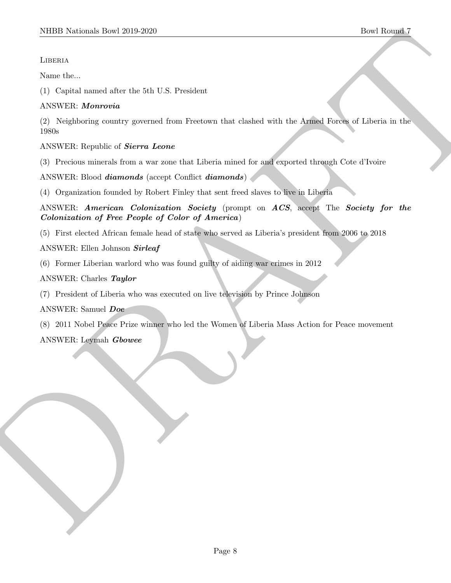## **LIBERIA**

Name the...

(1) Capital named after the 5th U.S. President

# ANSWER: Monrovia

NIBER Noticeals how 2019-2020<br>
More Results.<br>
Notice the corresponding that the State of the State of the State of the State of the Anilog Record of Horizontal Control of the Anilog State of the State of the Anilog State (2) Neighboring country governed from Freetown that clashed with the Armed Forces of Liberia in the 1980s

ANSWER: Republic of Sierra Leone

(3) Precious minerals from a war zone that Liberia mined for and exported through Cote d'Ivoire

ANSWER: Blood *diamonds* (accept Conflict *diamonds*)

(4) Organization founded by Robert Finley that sent freed slaves to live in Liberia

ANSWER: American Colonization Society (prompt on ACS, accept The Society for the Colonization of Free People of Color of America)

(5) First elected African female head of state who served as Liberia's president from 2006 to 2018

ANSWER: Ellen Johnson Sirleaf

(6) Former Liberian warlord who was found guilty of aiding war crimes in 2012

ANSWER: Charles Taylor

(7) President of Liberia who was executed on live television by Prince Johnson

ANSWER: Samuel Doe

(8) 2011 Nobel Peace Prize winner who led the Women of Liberia Mass Action for Peace movement

ANSWER: Leymah Gbowee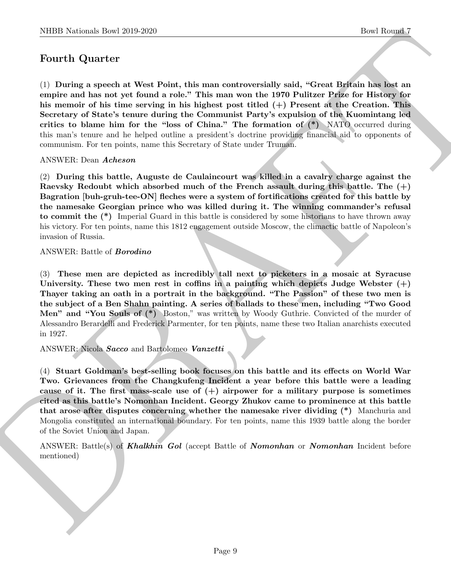# Fourth Quarter

(1) During a speech at West Point, this man controversially said, "Great Britain has lost an empire and has not yet found a role." This man won the 1970 Pulitzer Prize for History for his memoir of his time serving in his highest post titled (+) Present at the Creation. This Secretary of State's tenure during the Communist Party's expulsion of the Kuomintang led critics to blame him for the "loss of China." The formation of  $(*)$  NATO occurred during this man's tenure and he helped outline a president's doctrine providing financial aid to opponents of communism. For ten points, name this Secretary of State under Truman.

#### ANSWER: Dean Acheson

(2) During this battle, Auguste de Caulaincourt was killed in a cavalry charge against the Raevsky Redoubt which absorbed much of the French assault during this battle. The  $(+)$ Bagration [buh-gruh-tee-ON] fleches were a system of fortifications created for this battle by the namesake Georgian prince who was killed during it. The winning commander's refusal to commit the (\*) Imperial Guard in this battle is considered by some historians to have thrown away his victory. For ten points, name this 1812 engagement outside Moscow, the climactic battle of Napoleon's invasion of Russia.

#### ANSWER: Battle of Borodino

(3) These men are depicted as incredibly tall next to picketers in a mosaic at Syracuse University. These two men rest in coffins in a painting which depicts Judge Webster  $(+)$ Thayer taking an oath in a portrait in the background. "The Passion" of these two men is the subject of a Ben Shahn painting. A series of ballads to these men, including "Two Good Men" and "You Souls of (\*) Boston," was written by Woody Guthrie. Convicted of the murder of Alessandro Berardelli and Frederick Parmenter, for ten points, name these two Italian anarchists executed in 1927.

#### ANSWER: Nicola Sacco and Bartolomeo Vanzetti

NIBER Normals Insert 2019-2020<br>
Down Book Rounds?<br>
Down Book Rounds<br>
The Rounds and Most control and the main controversially suid, "Greed Ephonin has in<br>the member and has not yet from d a role." This man controversially (4) Stuart Goldman's best-selling book focuses on this battle and its effects on World War Two. Grievances from the Changkufeng Incident a year before this battle were a leading cause of it. The first mass-scale use of  $(+)$  airpower for a military purpose is sometimes cited as this battle's Nomonhan Incident. Georgy Zhukov came to prominence at this battle that arose after disputes concerning whether the namesake river dividing (\*) Manchuria and Mongolia constituted an international boundary. For ten points, name this 1939 battle along the border of the Soviet Union and Japan.

ANSWER: Battle(s) of **Khalkhin Gol** (accept Battle of **Nomonhan** or **Nomonhan** Incident before mentioned)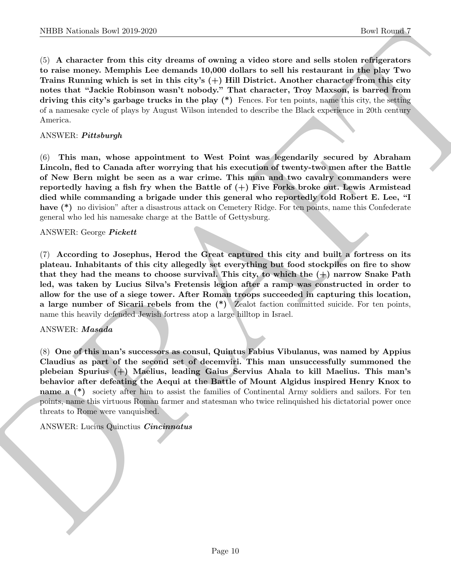(5) A character from this city dreams of owning a video store and sells stolen refrigerators to raise money. Memphis Lee demands 10,000 dollars to sell his restaurant in the play Two Trains Running which is set in this city's  $(+)$  Hill District. Another character from this city notes that "Jackie Robinson wasn't nobody." That character, Troy Maxson, is barred from driving this city's garbage trucks in the play (\*) Fences. For ten points, name this city, the setting of a namesake cycle of plays by August Wilson intended to describe the Black experience in 20th century America.

#### ANSWER: Pittsburgh

(6) This man, whose appointment to West Point was legendarily secured by Abraham Lincoln, fled to Canada after worrying that his execution of twenty-two men after the Battle of New Bern might be seen as a war crime. This man and two cavalry commanders were reportedly having a fish fry when the Battle of  $(+)$  Five Forks broke out. Lewis Armistead died while commanding a brigade under this general who reportedly told Robert E. Lee, "I have (\*) no division" after a disastrous attack on Cemetery Ridge. For ten points, name this Confederate general who led his namesake charge at the Battle of Gettysburg.

#### ANSWER: George Pickett

(7) According to Josephus, Herod the Great captured this city and built a fortress on its plateau. Inhabitants of this city allegedly set everything but food stockpiles on fire to show that they had the means to choose survival. This city, to which the  $(+)$  narrow Snake Path led, was taken by Lucius Silva's Fretensis legion after a ramp was constructed in order to allow for the use of a siege tower. After Roman troops succeeded in capturing this location, a large number of Sicarii rebels from the (\*) Zealot faction committed suicide. For ten points, name this heavily defended Jewish fortress atop a large hilltop in Israel.

#### ANSWER: Masada

NIBB Noticeals how 20:0 2020<br>
Co. A data the class of the class state is denoted to an interesting the class of the continue of the continue of the continue of the continue of the continue of the continue of the continue (8) One of this man's successors as consul, Quintus Fabius Vibulanus, was named by Appius Claudius as part of the second set of decemviri. This man unsuccessfully summoned the plebeian Spurius (+) Maelius, leading Gaius Servius Ahala to kill Maelius. This man's behavior after defeating the Aequi at the Battle of Mount Algidus inspired Henry Knox to name a  $(*)$  society after him to assist the families of Continental Army soldiers and sailors. For ten points, name this virtuous Roman farmer and statesman who twice relinquished his dictatorial power once threats to Rome were vanquished.

#### ANSWER: Lucius Quinctius Cincinnatus